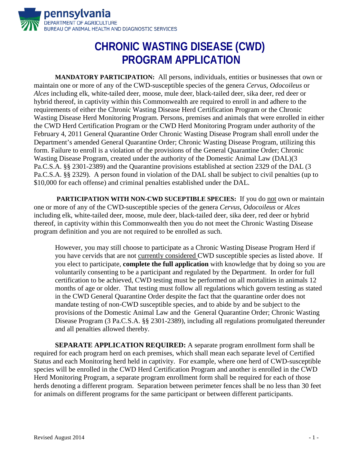

## **CHRONIC WASTING DISEASE (CWD) PROGRAM APPLICATION**

**MANDATORY PARTICIPATION:** All persons, individuals, entities or businesses that own or maintain one or more of any of the CWD-susceptible species of the genera *Cervus*, *Odocoileus* or *Alces* including elk, white-tailed deer, moose, mule deer, black-tailed deer, sika deer, red deer or hybrid thereof, in captivity within this Commonwealth are required to enroll in and adhere to the requirements of either the Chronic Wasting Disease Herd Certification Program or the Chronic Wasting Disease Herd Monitoring Program. Persons, premises and animals that were enrolled in either the CWD Herd Certification Program or the CWD Herd Monitoring Program under authority of the February 4, 2011 General Quarantine Order Chronic Wasting Disease Program shall enroll under the Department's amended General Quarantine Order; Chronic Wasting Disease Program, utilizing this form. Failure to enroll is a violation of the provisions of the General Quarantine Order; Chronic Wasting Disease Program, created under the authority of the Domestic Animal Law (DAL)(3 Pa.C.S.A. §§ 2301-2389) and the Quarantine provisions established at section 2329 of the DAL (3 Pa.C.S.A. §§ 2329). A person found in violation of the DAL shall be subject to civil penalties (up to \$10,000 for each offense) and criminal penalties established under the DAL.

**PARTICIPATION WITH NON-CWD SUCEPTIBLE SPECIES:** If you do not own or maintain one or more of any of the CWD-susceptible species of the genera *Cervus*, *Odocoileus* or *Alces* including elk, white-tailed deer, moose, mule deer, black-tailed deer, sika deer, red deer or hybrid thereof, in captivity within this Commonwealth then you do not meet the Chronic Wasting Disease program definition and you are not required to be enrolled as such.

However, you may still choose to participate as a Chronic Wasting Disease Program Herd if you have cervids that are not currently considered CWD susceptible species as listed above. If you elect to participate, **complete the full application** with knowledge that by doing so you are voluntarily consenting to be a participant and regulated by the Department. In order for full certification to be achieved, CWD testing must be performed on all mortalities in animals 12 months of age or older. That testing must follow all regulations which govern testing as stated in the CWD General Quarantine Order despite the fact that the quarantine order does not mandate testing of non-CWD susceptible species, and to abide by and be subject to the provisions of the Domestic Animal Law and the General Quarantine Order; Chronic Wasting Disease Program (3 Pa.C.S.A. §§ 2301-2389), including all regulations promulgated thereunder and all penalties allowed thereby.

**SEPARATE APPLICATION REQUIRED:** A separate program enrollment form shall be required for each program herd on each premises, which shall mean each separate level of Certified Status and each Monitoring herd held in captivity. For example, where one herd of CWD-susceptible species will be enrolled in the CWD Herd Certification Program and another is enrolled in the CWD Herd Monitoring Program, a separate program enrollment form shall be required for each of those herds denoting a different program. Separation between perimeter fences shall be no less than 30 feet for animals on different programs for the same participant or between different participants.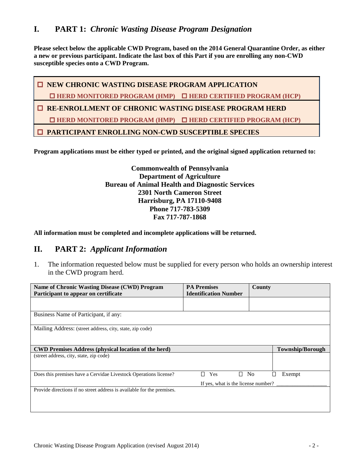**Please select below the applicable CWD Program, based on the 2014 General Quarantine Order, as either a new or previous participant. Indicate the last box of this Part if you are enrolling any non-CWD susceptible species onto a CWD Program.** 

 $\Box$  **NEW CHRONIC WASTING DISEASE PROGRAM APPLICATION HERD MONITORED PROGRAM (HMP) HERD CERTIFIED PROGRAM (HCP) RE-ENROLLMENT OF CHRONIC WASTING DISEASE PROGRAM HERD HERD MONITORED PROGRAM (HMP) HERD CERTIFIED PROGRAM (HCP) PARTICIPANT ENROLLING NON-CWD SUSCEPTIBLE SPECIES**

**Program applications must be either typed or printed, and the original signed application returned to:**

**Commonwealth of Pennsylvania Department of Agriculture Bureau of Animal Health and Diagnostic Services 2301 North Cameron Street Harrisburg, PA 17110-9408 Phone 717-783-5309 Fax 717-787-1868** 

**All information must be completed and incomplete applications will be returned.** 

## **II. PART 2:** *Applicant Information*

1. The information requested below must be supplied for every person who holds an ownership interest in the CWD program herd.

| Name of Chronic Wasting Disease (CWD) Program                          | <b>PA Premises</b>           | <b>County</b>                 |  |  |
|------------------------------------------------------------------------|------------------------------|-------------------------------|--|--|
| Participant to appear on certificate                                   | <b>Identification Number</b> |                               |  |  |
|                                                                        |                              |                               |  |  |
|                                                                        |                              |                               |  |  |
| Business Name of Participant, if any:                                  |                              |                               |  |  |
|                                                                        |                              |                               |  |  |
| Mailing Address: (street address, city, state, zip code)               |                              |                               |  |  |
|                                                                        |                              |                               |  |  |
|                                                                        |                              |                               |  |  |
| <b>CWD Premises Address (physical location of the herd)</b>            |                              | <b>Township/Borough</b>       |  |  |
| (street address, city, state, zip code)                                |                              |                               |  |  |
|                                                                        |                              |                               |  |  |
|                                                                        |                              |                               |  |  |
| Does this premises have a Cervidae Livestock Operations license?       | $\blacksquare$<br>Yes        | □<br>N <sub>0</sub><br>Exempt |  |  |
| If yes, what is the license number?                                    |                              |                               |  |  |
| Provide directions if no street address is available for the premises. |                              |                               |  |  |
|                                                                        |                              |                               |  |  |
|                                                                        |                              |                               |  |  |
|                                                                        |                              |                               |  |  |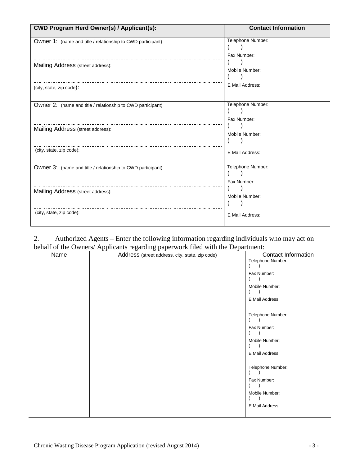| <b>CWD Program Herd Owner(s) / Applicant(s):</b>            | <b>Contact Information</b>       |
|-------------------------------------------------------------|----------------------------------|
| Owner 1: (name and title / relationship to CWD participant) | Telephone Number:                |
| Mailing Address (street address):                           | Fax Number:<br>Mobile Number:    |
| (city, state, zip code):                                    | E Mail Address:                  |
| Owner 2: (name and title / relationship to CWD participant) | Telephone Number:<br>Fax Number: |
| Mailing Address (street address):                           | Mobile Number:                   |
| (city, state, zip code):                                    | E Mail Address::                 |
| Owner 3: (name and title / relationship to CWD participant) | Telephone Number:<br>Fax Number: |
| Mailing Address (street address):                           | Mobile Number:                   |
| (city, state, zip code):                                    | E Mail Address:                  |

2. Authorized Agents – Enter the following information regarding individuals who may act on behalf of the Owners/ Applicants regarding paperwork filed with the Department:

| Name | $\frac{1}{2}$ $\frac{1}{2}$ $\frac{1}{2}$ $\frac{1}{2}$ $\frac{1}{2}$ $\frac{1}{2}$ $\frac{1}{2}$ $\frac{1}{2}$ $\frac{1}{2}$ $\frac{1}{2}$ $\frac{1}{2}$ $\frac{1}{2}$ $\frac{1}{2}$ $\frac{1}{2}$ $\frac{1}{2}$ $\frac{1}{2}$ $\frac{1}{2}$ $\frac{1}{2}$ $\frac{1}{2}$ $\frac{1}{2}$ $\frac{1}{2}$ $\frac{1}{2}$<br>Address (street address, city, state, zip code) | Contact Information |
|------|------------------------------------------------------------------------------------------------------------------------------------------------------------------------------------------------------------------------------------------------------------------------------------------------------------------------------------------------------------------------|---------------------|
|      |                                                                                                                                                                                                                                                                                                                                                                        | Telephone Number:   |
|      |                                                                                                                                                                                                                                                                                                                                                                        |                     |
|      |                                                                                                                                                                                                                                                                                                                                                                        | Fax Number:         |
|      |                                                                                                                                                                                                                                                                                                                                                                        |                     |
|      |                                                                                                                                                                                                                                                                                                                                                                        | Mobile Number:      |
|      |                                                                                                                                                                                                                                                                                                                                                                        |                     |
|      |                                                                                                                                                                                                                                                                                                                                                                        | E Mail Address:     |
|      |                                                                                                                                                                                                                                                                                                                                                                        |                     |
|      |                                                                                                                                                                                                                                                                                                                                                                        | Telephone Number:   |
|      |                                                                                                                                                                                                                                                                                                                                                                        |                     |
|      |                                                                                                                                                                                                                                                                                                                                                                        | Fax Number:         |
|      |                                                                                                                                                                                                                                                                                                                                                                        |                     |
|      |                                                                                                                                                                                                                                                                                                                                                                        | Mobile Number:      |
|      |                                                                                                                                                                                                                                                                                                                                                                        |                     |
|      |                                                                                                                                                                                                                                                                                                                                                                        | E Mail Address:     |
|      |                                                                                                                                                                                                                                                                                                                                                                        |                     |
|      |                                                                                                                                                                                                                                                                                                                                                                        | Telephone Number:   |
|      |                                                                                                                                                                                                                                                                                                                                                                        |                     |
|      |                                                                                                                                                                                                                                                                                                                                                                        | Fax Number:         |
|      |                                                                                                                                                                                                                                                                                                                                                                        |                     |
|      |                                                                                                                                                                                                                                                                                                                                                                        | Mobile Number:      |
|      |                                                                                                                                                                                                                                                                                                                                                                        |                     |
|      |                                                                                                                                                                                                                                                                                                                                                                        | E Mail Address:     |
|      |                                                                                                                                                                                                                                                                                                                                                                        |                     |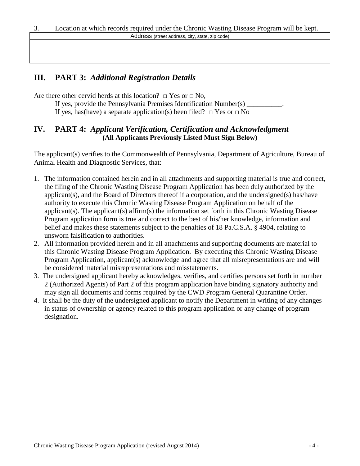## **III. PART 3:** *Additional Registration Details*

Are there other cervid herds at this location?  $\Box$  Yes or  $\Box$  No,

- If yes, provide the Pennsylvania Premises Identification Number(s)
- If yes, has(have) a separate application(s) been filed?  $\Box$  Yes or  $\Box$  No

## **IV. PART 4:** *Applicant Verification, Certification and Acknowledgment* **(All Applicants Previously Listed Must Sign Below)**

The applicant(s) verifies to the Commonwealth of Pennsylvania, Department of Agriculture, Bureau of Animal Health and Diagnostic Services, that:

- 1. The information contained herein and in all attachments and supporting material is true and correct, the filing of the Chronic Wasting Disease Program Application has been duly authorized by the applicant(s), and the Board of Directors thereof if a corporation, and the undersigned(s) has/have authority to execute this Chronic Wasting Disease Program Application on behalf of the applicant(s). The applicant(s) affirm(s) the information set forth in this Chronic Wasting Disease Program application form is true and correct to the best of his/her knowledge, information and belief and makes these statements subject to the penalties of 18 Pa.C.S.A. § 4904, relating to unsworn falsification to authorities.
- 2. All information provided herein and in all attachments and supporting documents are material to this Chronic Wasting Disease Program Application. By executing this Chronic Wasting Disease Program Application, applicant(s) acknowledge and agree that all misrepresentations are and will be considered material misrepresentations and misstatements.
- 3. The undersigned applicant hereby acknowledges, verifies, and certifies persons set forth in number 2 (Authorized Agents) of Part 2 of this program application have binding signatory authority and may sign all documents and forms required by the CWD Program General Quarantine Order.
- 4. It shall be the duty of the undersigned applicant to notify the Department in writing of any changes in status of ownership or agency related to this program application or any change of program designation.